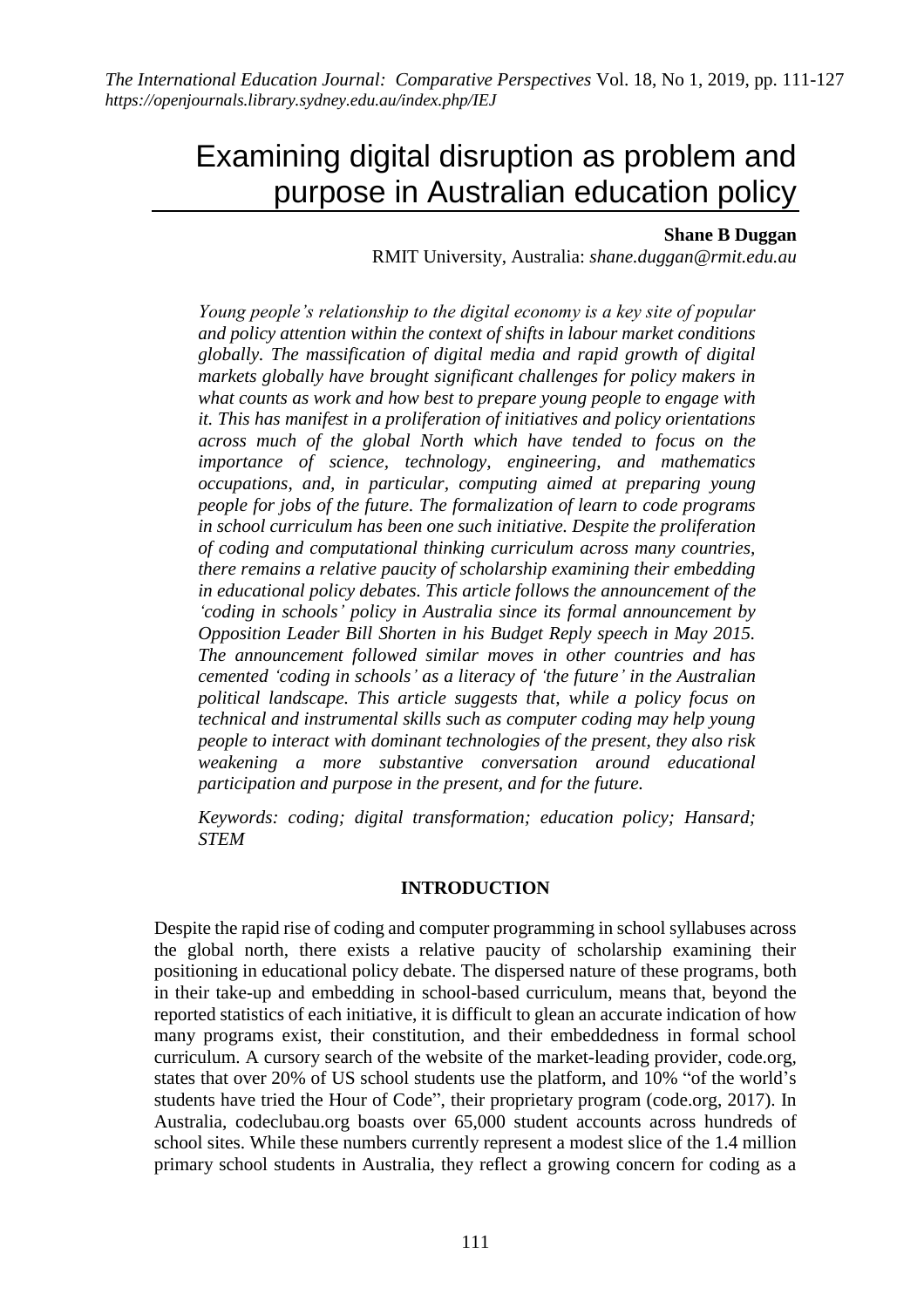# Examining digital disruption as problem and purpose in Australian education policy

## **Shane B Duggan**

## RMIT University, Australia: *shane.duggan@rmit.edu.au*

*Young people's relationship to the digital economy is a key site of popular and policy attention within the context of shifts in labour market conditions globally. The massification of digital media and rapid growth of digital markets globally have brought significant challenges for policy makers in what counts as work and how best to prepare young people to engage with it. This has manifest in a proliferation of initiatives and policy orientations across much of the global North which have tended to focus on the importance of science, technology, engineering, and mathematics occupations, and, in particular, computing aimed at preparing young people for jobs of the future. The formalization of learn to code programs in school curriculum has been one such initiative. Despite the proliferation of coding and computational thinking curriculum across many countries, there remains a relative paucity of scholarship examining their embedding in educational policy debates. This article follows the announcement of the 'coding in schools' policy in Australia since its formal announcement by Opposition Leader Bill Shorten in his Budget Reply speech in May 2015. The announcement followed similar moves in other countries and has cemented 'coding in schools' as a literacy of 'the future' in the Australian political landscape. This article suggests that, while a policy focus on technical and instrumental skills such as computer coding may help young people to interact with dominant technologies of the present, they also risk weakening a more substantive conversation around educational participation and purpose in the present, and for the future.*

*Keywords: coding; digital transformation; education policy; Hansard; STEM*

## **INTRODUCTION**

Despite the rapid rise of coding and computer programming in school syllabuses across the global north, there exists a relative paucity of scholarship examining their positioning in educational policy debate. The dispersed nature of these programs, both in their take-up and embedding in school-based curriculum, means that, beyond the reported statistics of each initiative, it is difficult to glean an accurate indication of how many programs exist, their constitution, and their embeddedness in formal school curriculum. A cursory search of the website of the market-leading provider, code.org*,* states that over 20% of US school students use the platform, and 10% "of the world's students have tried the Hour of Code", their proprietary program (code.org, 2017). In Australia, codeclubau.org boasts over 65,000 student accounts across hundreds of school sites. While these numbers currently represent a modest slice of the 1.4 million primary school students in Australia, they reflect a growing concern for coding as a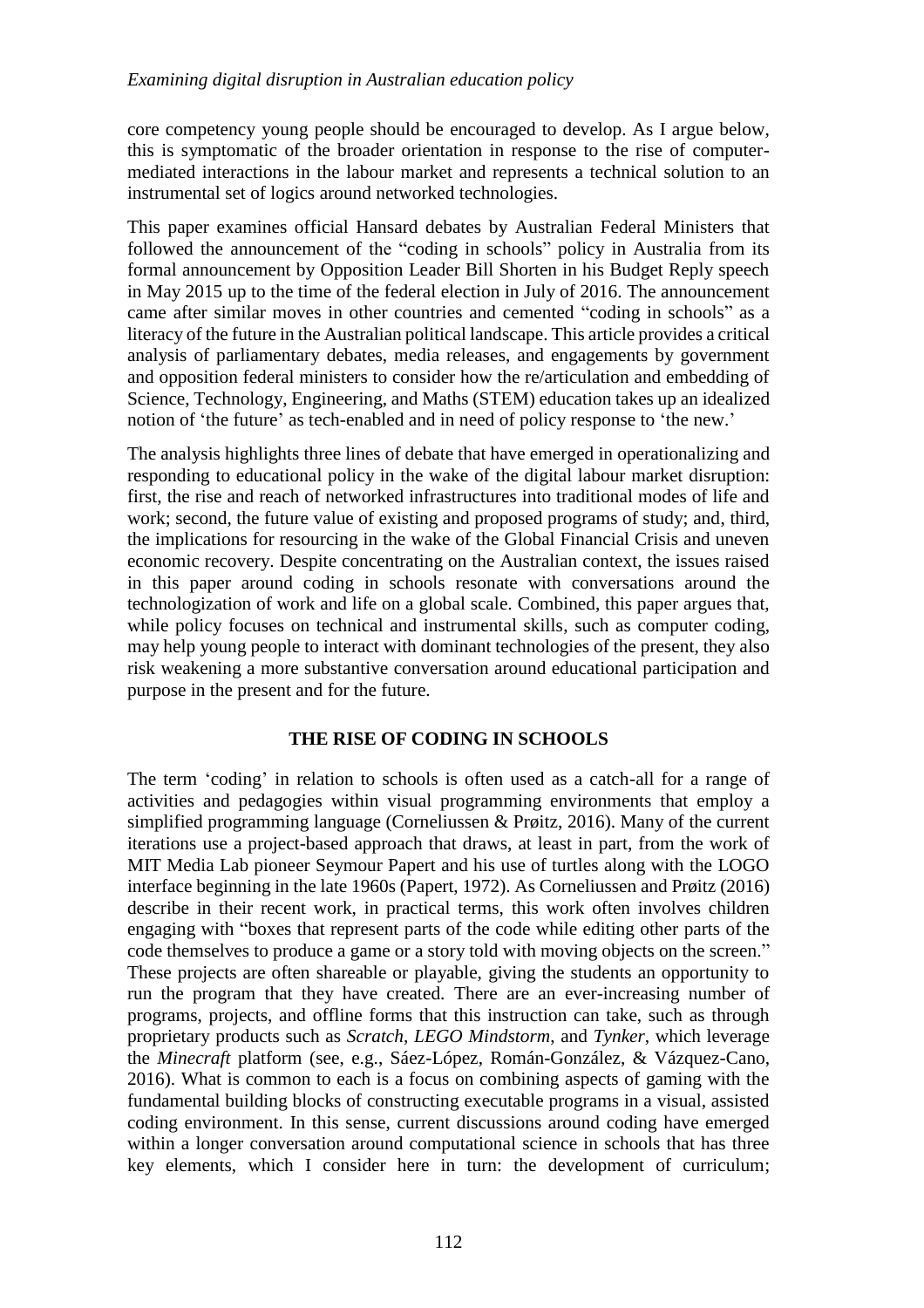core competency young people should be encouraged to develop. As I argue below, this is symptomatic of the broader orientation in response to the rise of computermediated interactions in the labour market and represents a technical solution to an instrumental set of logics around networked technologies.

This paper examines official Hansard debates by Australian Federal Ministers that followed the announcement of the "coding in schools" policy in Australia from its formal announcement by Opposition Leader Bill Shorten in his Budget Reply speech in May 2015 up to the time of the federal election in July of 2016. The announcement came after similar moves in other countries and cemented "coding in schools" as a literacy of the future in the Australian political landscape. This article provides a critical analysis of parliamentary debates, media releases, and engagements by government and opposition federal ministers to consider how the re/articulation and embedding of Science, Technology, Engineering, and Maths (STEM) education takes up an idealized notion of 'the future' as tech-enabled and in need of policy response to 'the new.'

The analysis highlights three lines of debate that have emerged in operationalizing and responding to educational policy in the wake of the digital labour market disruption: first, the rise and reach of networked infrastructures into traditional modes of life and work; second, the future value of existing and proposed programs of study; and, third, the implications for resourcing in the wake of the Global Financial Crisis and uneven economic recovery. Despite concentrating on the Australian context, the issues raised in this paper around coding in schools resonate with conversations around the technologization of work and life on a global scale. Combined, this paper argues that, while policy focuses on technical and instrumental skills, such as computer coding, may help young people to interact with dominant technologies of the present, they also risk weakening a more substantive conversation around educational participation and purpose in the present and for the future.

## **THE RISE OF CODING IN SCHOOLS**

The term 'coding' in relation to schools is often used as a catch-all for a range of activities and pedagogies within visual programming environments that employ a simplified programming language (Corneliussen & Prøitz, 2016). Many of the current iterations use a project-based approach that draws, at least in part, from the work of MIT Media Lab pioneer Seymour Papert and his use of turtles along with the LOGO interface beginning in the late 1960s (Papert, 1972). As Corneliussen and Prøitz (2016) describe in their recent work, in practical terms, this work often involves children engaging with "boxes that represent parts of the code while editing other parts of the code themselves to produce a game or a story told with moving objects on the screen." These projects are often shareable or playable, giving the students an opportunity to run the program that they have created. There are an ever-increasing number of programs, projects, and offline forms that this instruction can take, such as through proprietary products such as *Scratch*, *LEGO Mindstorm*, and *Tynker*, which leverage the *Minecraft* platform (see, e.g., Sáez-López, Román-González, & Vázquez-Cano, 2016). What is common to each is a focus on combining aspects of gaming with the fundamental building blocks of constructing executable programs in a visual, assisted coding environment. In this sense, current discussions around coding have emerged within a longer conversation around computational science in schools that has three key elements, which I consider here in turn: the development of curriculum;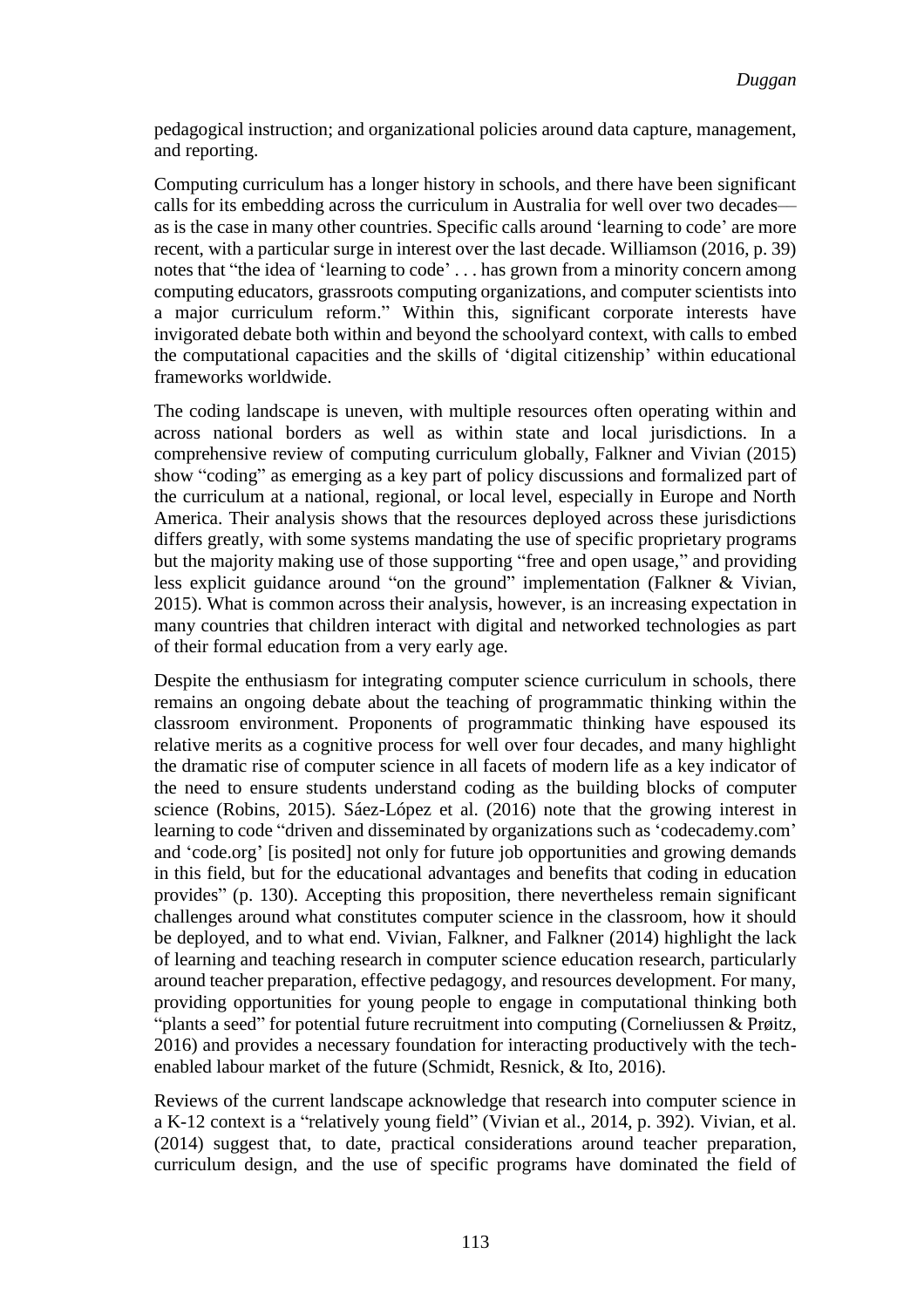pedagogical instruction; and organizational policies around data capture, management, and reporting.

Computing curriculum has a longer history in schools, and there have been significant calls for its embedding across the curriculum in Australia for well over two decades–– as is the case in many other countries. Specific calls around 'learning to code' are more recent, with a particular surge in interest over the last decade. Williamson (2016, p. 39) notes that "the idea of 'learning to code' . . . has grown from a minority concern among computing educators, grassroots computing organizations, and computer scientists into a major curriculum reform." Within this, significant corporate interests have invigorated debate both within and beyond the schoolyard context, with calls to embed the computational capacities and the skills of 'digital citizenship' within educational frameworks worldwide.

The coding landscape is uneven, with multiple resources often operating within and across national borders as well as within state and local jurisdictions. In a comprehensive review of computing curriculum globally, Falkner and Vivian (2015) show "coding" as emerging as a key part of policy discussions and formalized part of the curriculum at a national, regional, or local level, especially in Europe and North America. Their analysis shows that the resources deployed across these jurisdictions differs greatly, with some systems mandating the use of specific proprietary programs but the majority making use of those supporting "free and open usage," and providing less explicit guidance around "on the ground" implementation (Falkner & Vivian, 2015). What is common across their analysis, however, is an increasing expectation in many countries that children interact with digital and networked technologies as part of their formal education from a very early age.

Despite the enthusiasm for integrating computer science curriculum in schools, there remains an ongoing debate about the teaching of programmatic thinking within the classroom environment. Proponents of programmatic thinking have espoused its relative merits as a cognitive process for well over four decades, and many highlight the dramatic rise of computer science in all facets of modern life as a key indicator of the need to ensure students understand coding as the building blocks of computer science (Robins, 2015). Sáez-López et al. (2016) note that the growing interest in learning to code "driven and disseminated by organizations such as 'codecademy.com' and 'code.org' [is posited] not only for future job opportunities and growing demands in this field, but for the educational advantages and benefits that coding in education provides" (p. 130). Accepting this proposition, there nevertheless remain significant challenges around what constitutes computer science in the classroom, how it should be deployed, and to what end. Vivian, Falkner, and Falkner (2014) highlight the lack of learning and teaching research in computer science education research, particularly around teacher preparation, effective pedagogy, and resources development. For many, providing opportunities for young people to engage in computational thinking both "plants a seed" for potential future recruitment into computing (Corneliussen & Prøitz, 2016) and provides a necessary foundation for interacting productively with the techenabled labour market of the future (Schmidt, Resnick, & Ito, 2016).

Reviews of the current landscape acknowledge that research into computer science in a K-12 context is a "relatively young field" (Vivian et al., 2014, p. 392). Vivian, et al. (2014) suggest that, to date, practical considerations around teacher preparation, curriculum design, and the use of specific programs have dominated the field of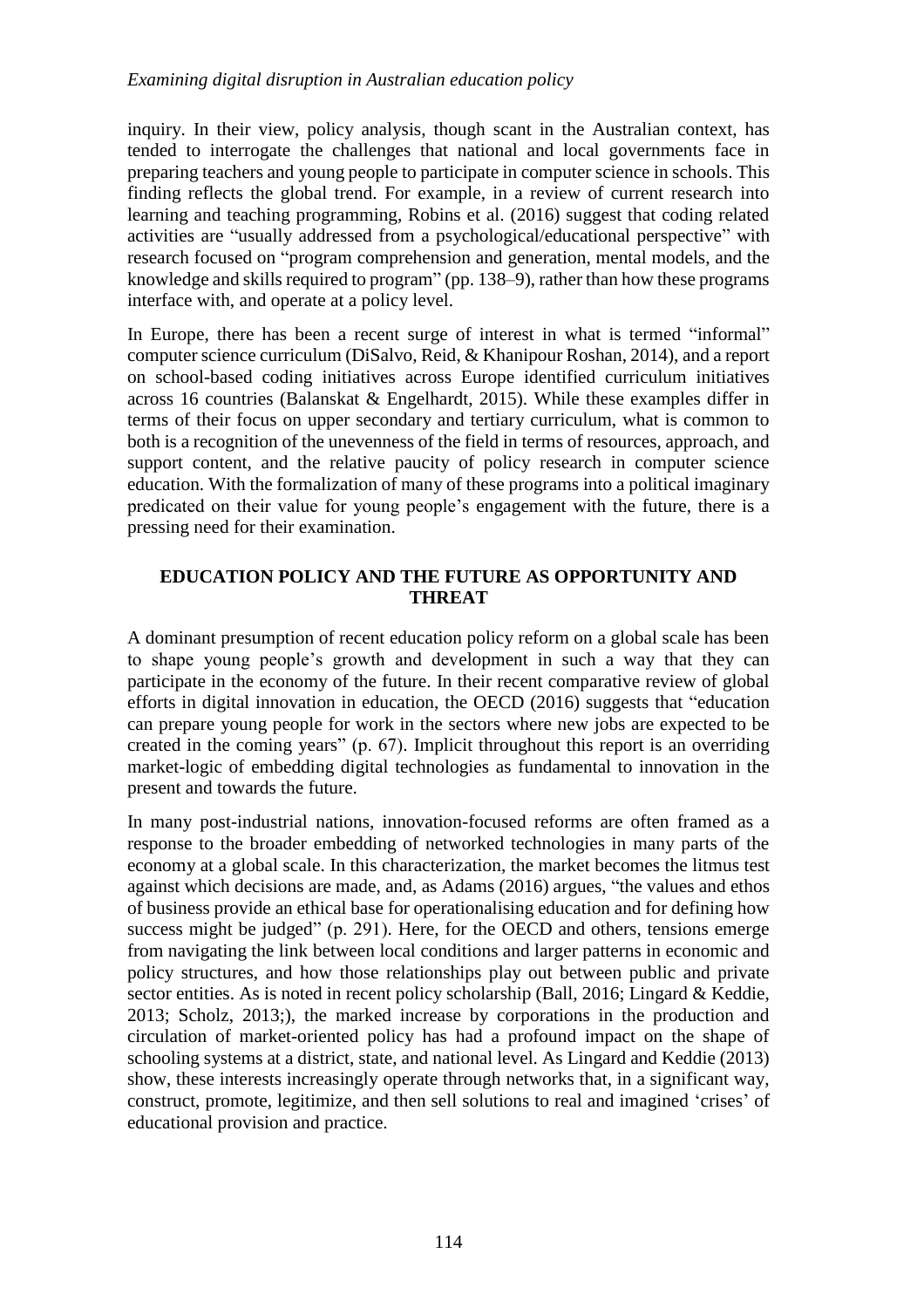inquiry. In their view, policy analysis, though scant in the Australian context, has tended to interrogate the challenges that national and local governments face in preparing teachers and young people to participate in computer science in schools. This finding reflects the global trend. For example, in a review of current research into learning and teaching programming, Robins et al. (2016) suggest that coding related activities are "usually addressed from a psychological/educational perspective" with research focused on "program comprehension and generation, mental models, and the knowledge and skills required to program" (pp. 138–9), rather than how these programs interface with, and operate at a policy level.

In Europe, there has been a recent surge of interest in what is termed "informal" computer science curriculum (DiSalvo, Reid, & Khanipour Roshan, 2014), and a report on school-based coding initiatives across Europe identified curriculum initiatives across 16 countries (Balanskat & Engelhardt, 2015). While these examples differ in terms of their focus on upper secondary and tertiary curriculum, what is common to both is a recognition of the unevenness of the field in terms of resources, approach, and support content, and the relative paucity of policy research in computer science education. With the formalization of many of these programs into a political imaginary predicated on their value for young people's engagement with the future, there is a pressing need for their examination.

# **EDUCATION POLICY AND THE FUTURE AS OPPORTUNITY AND THREAT**

A dominant presumption of recent education policy reform on a global scale has been to shape young people's growth and development in such a way that they can participate in the economy of the future. In their recent comparative review of global efforts in digital innovation in education, the OECD (2016) suggests that "education can prepare young people for work in the sectors where new jobs are expected to be created in the coming years" (p. 67). Implicit throughout this report is an overriding market-logic of embedding digital technologies as fundamental to innovation in the present and towards the future.

In many post-industrial nations, innovation-focused reforms are often framed as a response to the broader embedding of networked technologies in many parts of the economy at a global scale. In this characterization, the market becomes the litmus test against which decisions are made, and, as Adams (2016) argues, "the values and ethos of business provide an ethical base for operationalising education and for defining how success might be judged" (p. 291). Here, for the OECD and others, tensions emerge from navigating the link between local conditions and larger patterns in economic and policy structures, and how those relationships play out between public and private sector entities. As is noted in recent policy scholarship (Ball, 2016; Lingard & Keddie, 2013; Scholz, 2013;), the marked increase by corporations in the production and circulation of market-oriented policy has had a profound impact on the shape of schooling systems at a district, state, and national level. As Lingard and Keddie (2013) show, these interests increasingly operate through networks that, in a significant way, construct, promote, legitimize, and then sell solutions to real and imagined 'crises' of educational provision and practice.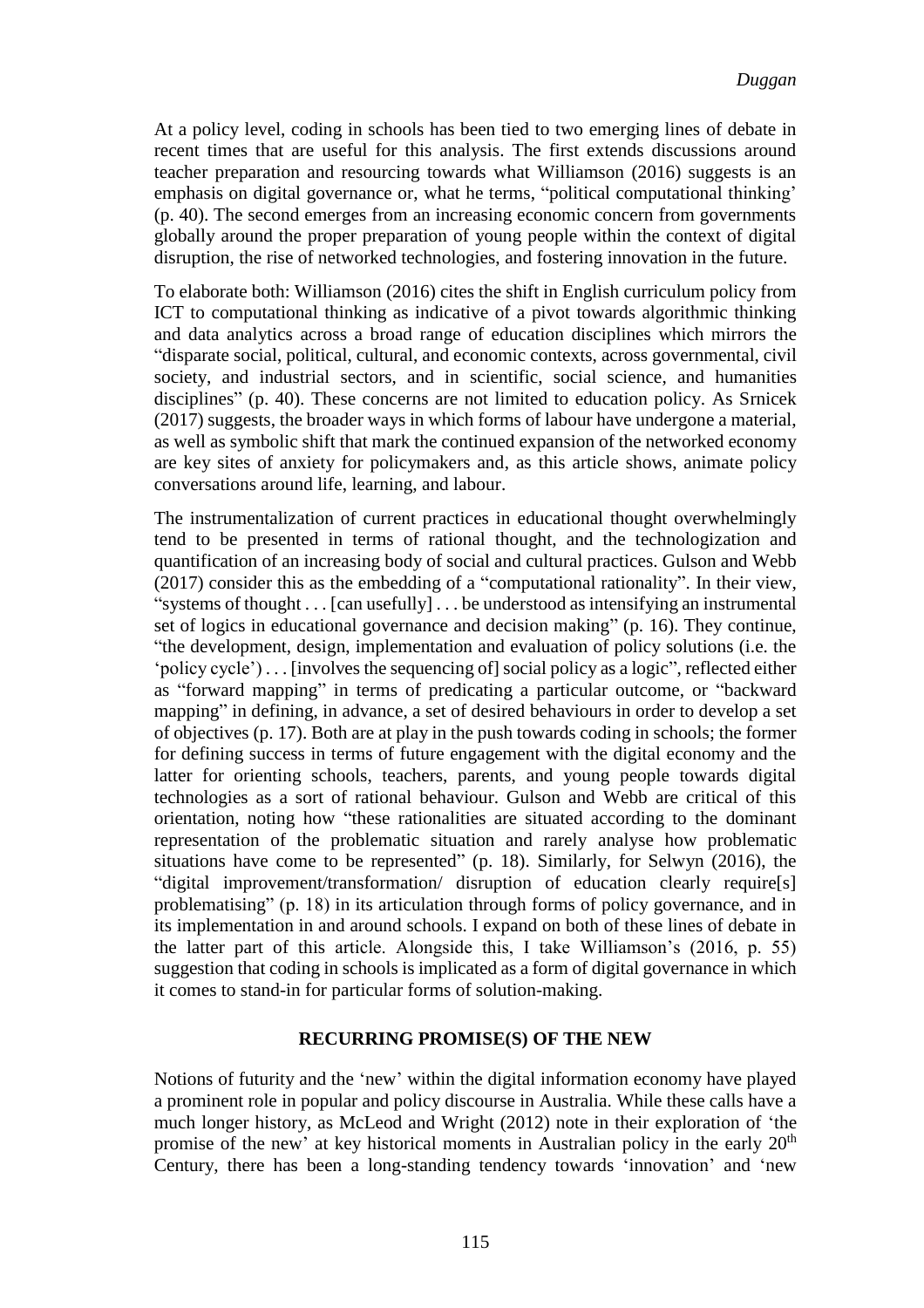At a policy level, coding in schools has been tied to two emerging lines of debate in recent times that are useful for this analysis. The first extends discussions around teacher preparation and resourcing towards what Williamson (2016) suggests is an emphasis on digital governance or, what he terms, "political computational thinking' (p. 40). The second emerges from an increasing economic concern from governments globally around the proper preparation of young people within the context of digital disruption, the rise of networked technologies, and fostering innovation in the future.

To elaborate both: Williamson (2016) cites the shift in English curriculum policy from ICT to computational thinking as indicative of a pivot towards algorithmic thinking and data analytics across a broad range of education disciplines which mirrors the "disparate social, political, cultural, and economic contexts, across governmental, civil society, and industrial sectors, and in scientific, social science, and humanities disciplines" (p. 40). These concerns are not limited to education policy. As Srnicek (2017) suggests, the broader ways in which forms of labour have undergone a material, as well as symbolic shift that mark the continued expansion of the networked economy are key sites of anxiety for policymakers and, as this article shows, animate policy conversations around life, learning, and labour.

The instrumentalization of current practices in educational thought overwhelmingly tend to be presented in terms of rational thought, and the technologization and quantification of an increasing body of social and cultural practices. Gulson and Webb (2017) consider this as the embedding of a "computational rationality". In their view, "systems of thought . . . [can usefully] . . . be understood as intensifying an instrumental set of logics in educational governance and decision making" (p. 16). They continue, "the development, design, implementation and evaluation of policy solutions (i.e. the 'policy cycle') . . . [involves the sequencing of] social policy as a logic", reflected either as "forward mapping" in terms of predicating a particular outcome, or "backward mapping" in defining, in advance, a set of desired behaviours in order to develop a set of objectives (p. 17). Both are at play in the push towards coding in schools; the former for defining success in terms of future engagement with the digital economy and the latter for orienting schools, teachers, parents, and young people towards digital technologies as a sort of rational behaviour. Gulson and Webb are critical of this orientation, noting how "these rationalities are situated according to the dominant representation of the problematic situation and rarely analyse how problematic situations have come to be represented" (p. 18). Similarly, for Selwyn (2016), the "digital improvement/transformation/ disruption of education clearly require[s] problematising" (p. 18) in its articulation through forms of policy governance, and in its implementation in and around schools. I expand on both of these lines of debate in the latter part of this article. Alongside this, I take Williamson's (2016, p. 55) suggestion that coding in schools is implicated as a form of digital governance in which it comes to stand-in for particular forms of solution-making.

#### **RECURRING PROMISE(S) OF THE NEW**

Notions of futurity and the 'new' within the digital information economy have played a prominent role in popular and policy discourse in Australia. While these calls have a much longer history, as McLeod and Wright (2012) note in their exploration of 'the promise of the new' at key historical moments in Australian policy in the early  $20<sup>th</sup>$ Century, there has been a long-standing tendency towards 'innovation' and 'new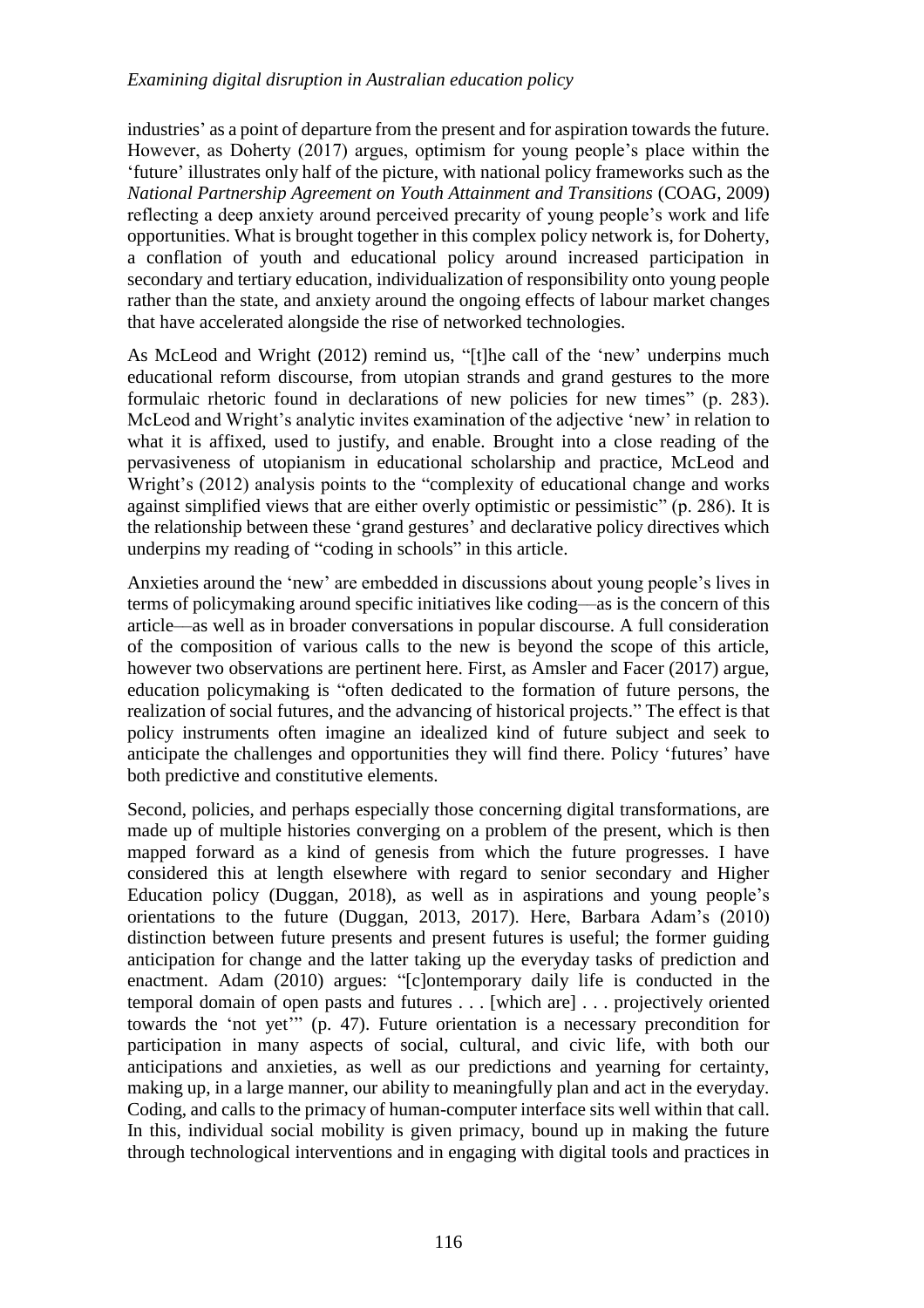industries' as a point of departure from the present and for aspiration towards the future. However, as Doherty (2017) argues, optimism for young people's place within the 'future' illustrates only half of the picture, with national policy frameworks such as the *National Partnership Agreement on Youth Attainment and Transitions* (COAG, 2009) reflecting a deep anxiety around perceived precarity of young people's work and life opportunities. What is brought together in this complex policy network is, for Doherty, a conflation of youth and educational policy around increased participation in secondary and tertiary education, individualization of responsibility onto young people rather than the state, and anxiety around the ongoing effects of labour market changes that have accelerated alongside the rise of networked technologies.

As McLeod and Wright (2012) remind us, "[t]he call of the 'new' underpins much educational reform discourse, from utopian strands and grand gestures to the more formulaic rhetoric found in declarations of new policies for new times" (p. 283). McLeod and Wright's analytic invites examination of the adjective 'new' in relation to what it is affixed, used to justify, and enable. Brought into a close reading of the pervasiveness of utopianism in educational scholarship and practice, McLeod and Wright's (2012) analysis points to the "complexity of educational change and works against simplified views that are either overly optimistic or pessimistic" (p. 286). It is the relationship between these 'grand gestures' and declarative policy directives which underpins my reading of "coding in schools" in this article.

Anxieties around the 'new' are embedded in discussions about young people's lives in terms of policymaking around specific initiatives like coding––as is the concern of this article––as well as in broader conversations in popular discourse. A full consideration of the composition of various calls to the new is beyond the scope of this article, however two observations are pertinent here. First, as Amsler and Facer (2017) argue, education policymaking is "often dedicated to the formation of future persons, the realization of social futures, and the advancing of historical projects." The effect is that policy instruments often imagine an idealized kind of future subject and seek to anticipate the challenges and opportunities they will find there. Policy 'futures' have both predictive and constitutive elements.

Second, policies, and perhaps especially those concerning digital transformations, are made up of multiple histories converging on a problem of the present, which is then mapped forward as a kind of genesis from which the future progresses. I have considered this at length elsewhere with regard to senior secondary and Higher Education policy (Duggan, 2018), as well as in aspirations and young people's orientations to the future (Duggan, 2013, 2017). Here, Barbara Adam's (2010) distinction between future presents and present futures is useful; the former guiding anticipation for change and the latter taking up the everyday tasks of prediction and enactment. Adam (2010) argues: "[c]ontemporary daily life is conducted in the temporal domain of open pasts and futures . . . [which are] . . . projectively oriented towards the 'not yet'" (p. 47). Future orientation is a necessary precondition for participation in many aspects of social, cultural, and civic life, with both our anticipations and anxieties, as well as our predictions and yearning for certainty, making up, in a large manner, our ability to meaningfully plan and act in the everyday. Coding, and calls to the primacy of human-computer interface sits well within that call. In this, individual social mobility is given primacy, bound up in making the future through technological interventions and in engaging with digital tools and practices in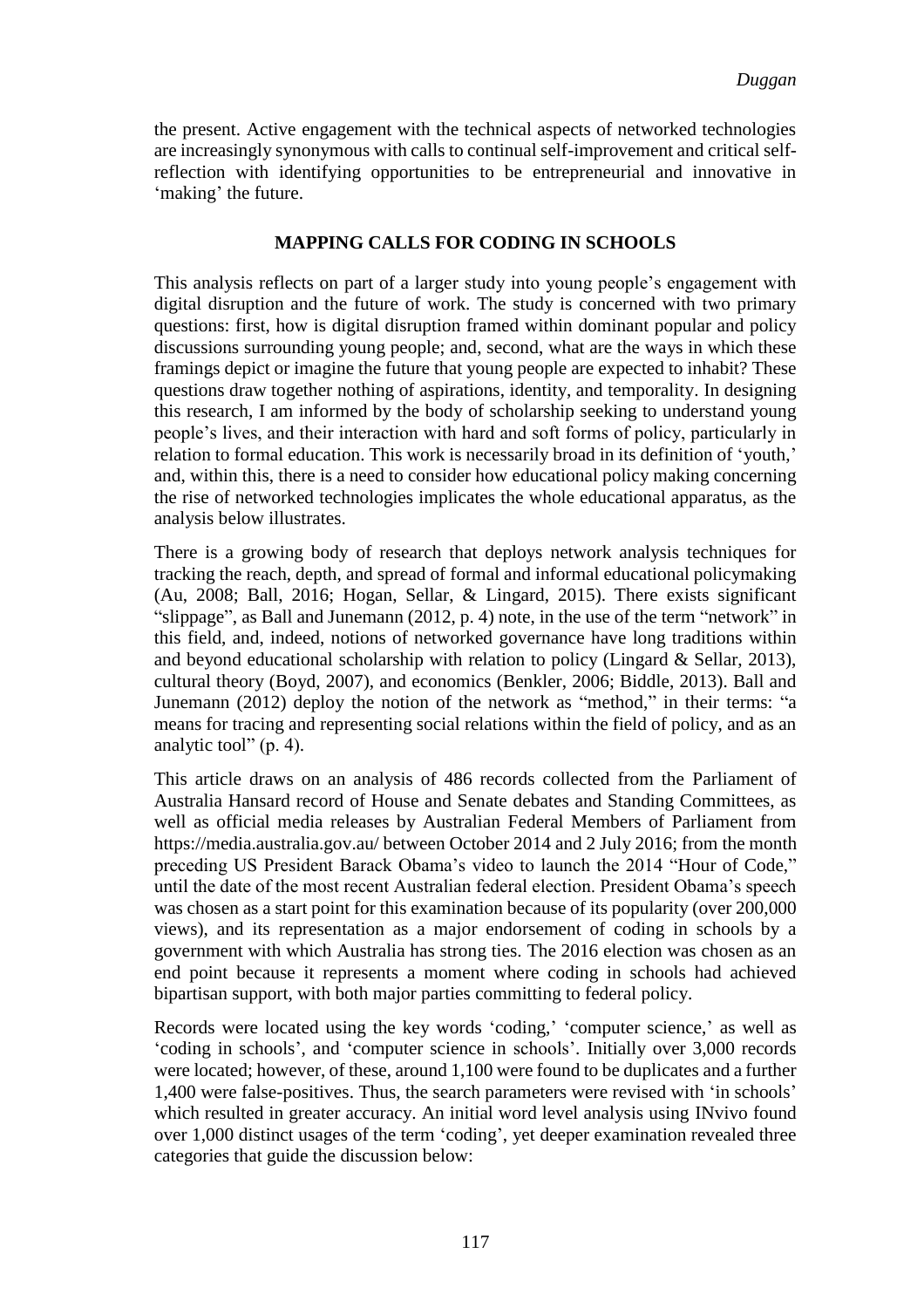the present. Active engagement with the technical aspects of networked technologies are increasingly synonymous with calls to continual self-improvement and critical selfreflection with identifying opportunities to be entrepreneurial and innovative in 'making' the future.

## **MAPPING CALLS FOR CODING IN SCHOOLS**

This analysis reflects on part of a larger study into young people's engagement with digital disruption and the future of work. The study is concerned with two primary questions: first, how is digital disruption framed within dominant popular and policy discussions surrounding young people; and, second, what are the ways in which these framings depict or imagine the future that young people are expected to inhabit? These questions draw together nothing of aspirations, identity, and temporality. In designing this research, I am informed by the body of scholarship seeking to understand young people's lives, and their interaction with hard and soft forms of policy, particularly in relation to formal education. This work is necessarily broad in its definition of 'youth,' and, within this, there is a need to consider how educational policy making concerning the rise of networked technologies implicates the whole educational apparatus, as the analysis below illustrates.

There is a growing body of research that deploys network analysis techniques for tracking the reach, depth, and spread of formal and informal educational policymaking (Au, 2008; Ball, 2016; Hogan, Sellar, & Lingard, 2015). There exists significant "slippage", as Ball and Junemann (2012, p. 4) note, in the use of the term "network" in this field, and, indeed, notions of networked governance have long traditions within and beyond educational scholarship with relation to policy (Lingard & Sellar, 2013), cultural theory (Boyd, 2007), and economics (Benkler, 2006; Biddle, 2013). Ball and Junemann (2012) deploy the notion of the network as "method," in their terms: "a means for tracing and representing social relations within the field of policy, and as an analytic tool" (p. 4).

This article draws on an analysis of 486 records collected from the Parliament of Australia Hansard record of House and Senate debates and Standing Committees, as well as official media releases by Australian Federal Members of Parliament from https://media.australia.gov.au/ between October 2014 and 2 July 2016; from the month preceding US President Barack Obama's video to launch the 2014 "Hour of Code," until the date of the most recent Australian federal election. President Obama's speech was chosen as a start point for this examination because of its popularity (over 200,000 views), and its representation as a major endorsement of coding in schools by a government with which Australia has strong ties. The 2016 election was chosen as an end point because it represents a moment where coding in schools had achieved bipartisan support, with both major parties committing to federal policy.

Records were located using the key words 'coding,' 'computer science,' as well as 'coding in schools', and 'computer science in schools'. Initially over 3,000 records were located; however, of these, around 1,100 were found to be duplicates and a further 1,400 were false-positives. Thus, the search parameters were revised with 'in schools' which resulted in greater accuracy. An initial word level analysis using INvivo found over 1,000 distinct usages of the term 'coding', yet deeper examination revealed three categories that guide the discussion below: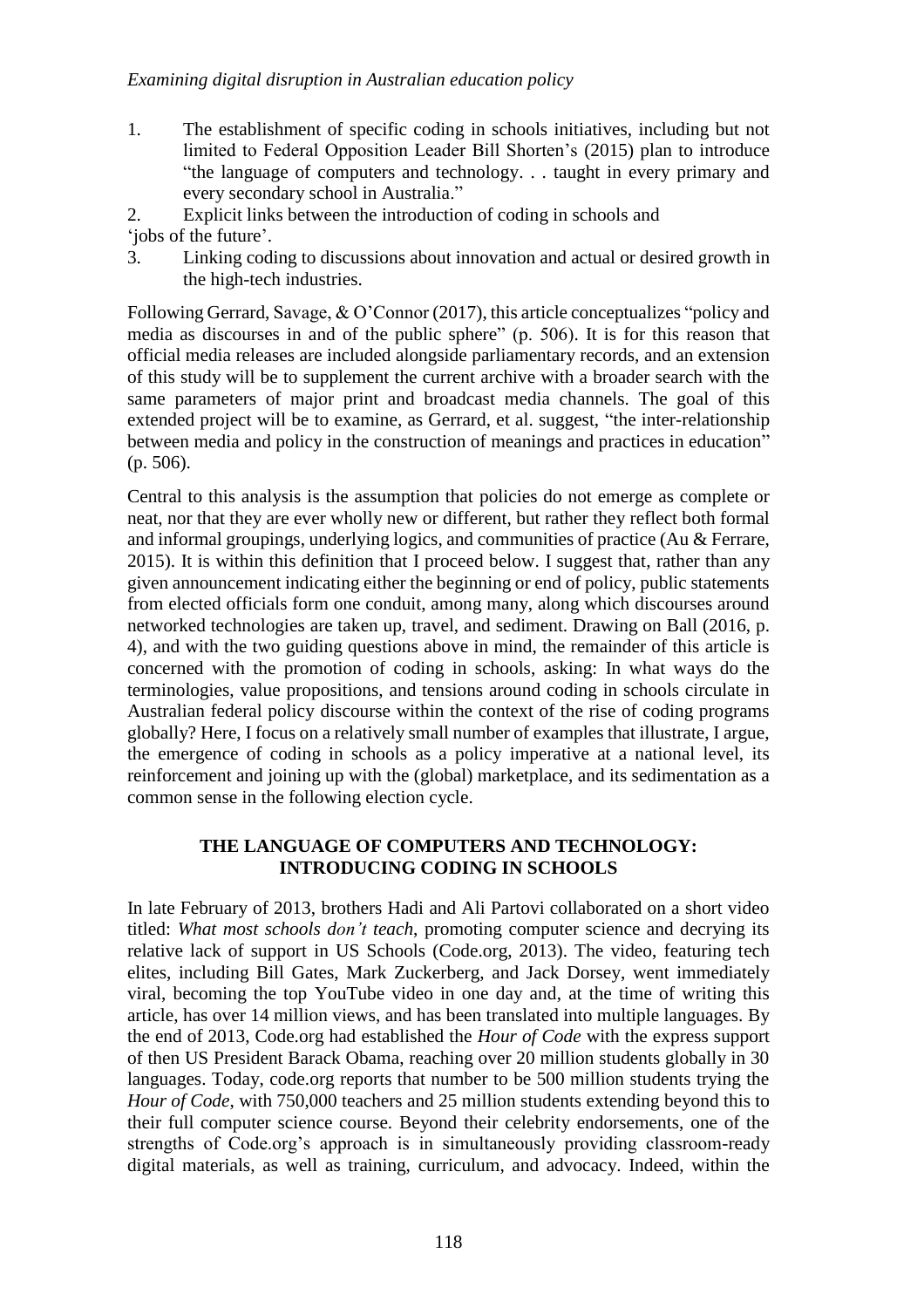- 1. The establishment of specific coding in schools initiatives, including but not limited to Federal Opposition Leader Bill Shorten's (2015) plan to introduce "the language of computers and technology. . . taught in every primary and every secondary school in Australia."
- 2. Explicit links between the introduction of coding in schools and

'jobs of the future'.

3. Linking coding to discussions about innovation and actual or desired growth in the high-tech industries.

Following Gerrard, Savage, & O'Connor (2017), this article conceptualizes "policy and media as discourses in and of the public sphere" (p. 506). It is for this reason that official media releases are included alongside parliamentary records, and an extension of this study will be to supplement the current archive with a broader search with the same parameters of major print and broadcast media channels. The goal of this extended project will be to examine, as Gerrard, et al. suggest, "the inter-relationship between media and policy in the construction of meanings and practices in education" (p. 506).

Central to this analysis is the assumption that policies do not emerge as complete or neat, nor that they are ever wholly new or different, but rather they reflect both formal and informal groupings, underlying logics, and communities of practice (Au & Ferrare, 2015). It is within this definition that I proceed below. I suggest that, rather than any given announcement indicating either the beginning or end of policy, public statements from elected officials form one conduit, among many, along which discourses around networked technologies are taken up, travel, and sediment. Drawing on Ball (2016, p. 4), and with the two guiding questions above in mind, the remainder of this article is concerned with the promotion of coding in schools, asking: In what ways do the terminologies, value propositions, and tensions around coding in schools circulate in Australian federal policy discourse within the context of the rise of coding programs globally? Here, I focus on a relatively small number of examples that illustrate, I argue, the emergence of coding in schools as a policy imperative at a national level, its reinforcement and joining up with the (global) marketplace, and its sedimentation as a common sense in the following election cycle.

## **THE LANGUAGE OF COMPUTERS AND TECHNOLOGY: INTRODUCING CODING IN SCHOOLS**

In late February of 2013, brothers Hadi and Ali Partovi collaborated on a short video titled: *What most schools don't teach*, promoting computer science and decrying its relative lack of support in US Schools (Code.org, 2013). The video, featuring tech elites, including Bill Gates, Mark Zuckerberg, and Jack Dorsey, went immediately viral, becoming the top YouTube video in one day and, at the time of writing this article, has over 14 million views, and has been translated into multiple languages. By the end of 2013, Code.org had established the *Hour of Code* with the express support of then US President Barack Obama, reaching over 20 million students globally in 30 languages. Today, code.org reports that number to be 500 million students trying the *Hour of Code*, with 750,000 teachers and 25 million students extending beyond this to their full computer science course. Beyond their celebrity endorsements, one of the strengths of Code.org's approach is in simultaneously providing classroom-ready digital materials, as well as training, curriculum, and advocacy. Indeed, within the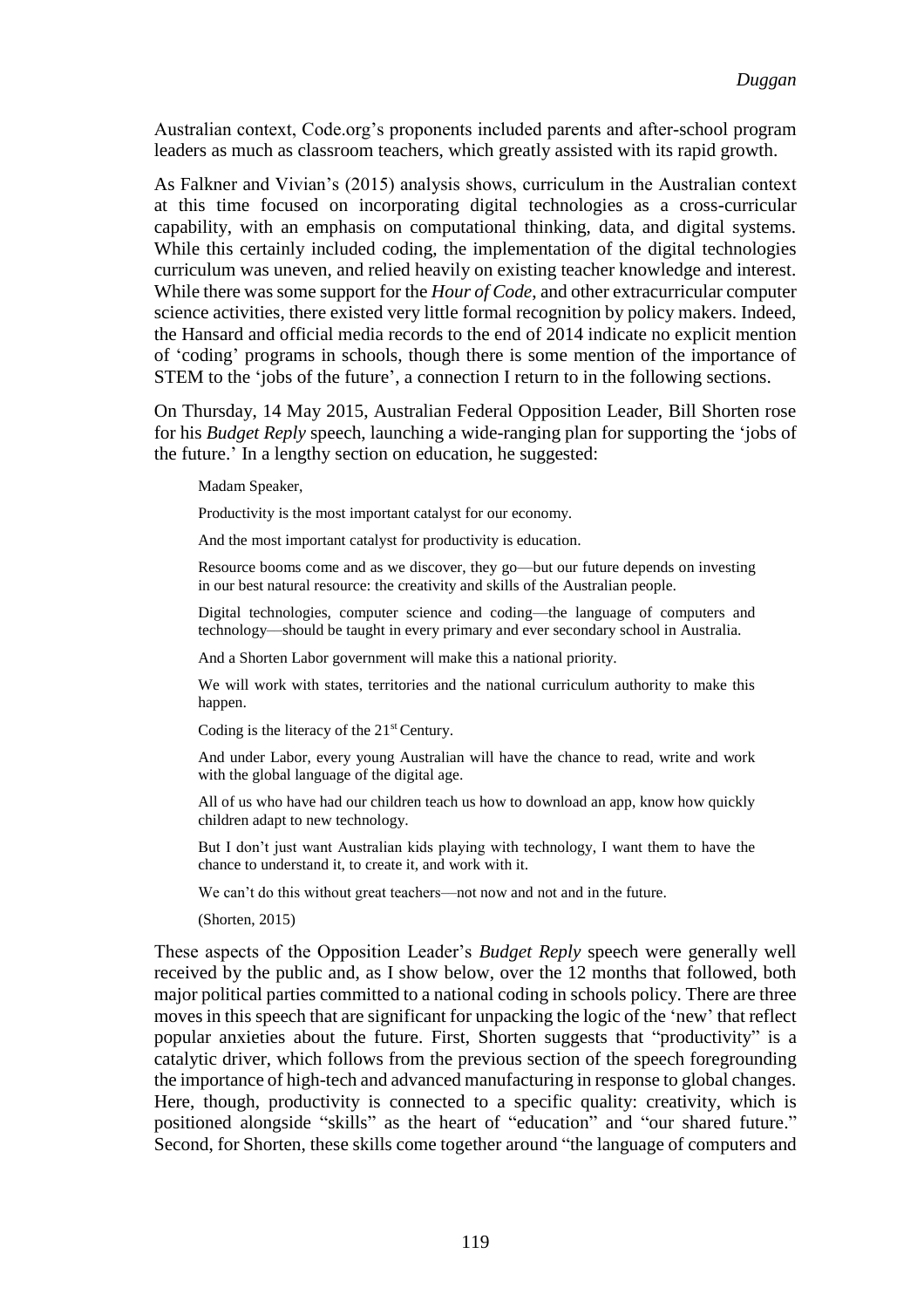Australian context, Code.org's proponents included parents and after-school program leaders as much as classroom teachers, which greatly assisted with its rapid growth.

As Falkner and Vivian's (2015) analysis shows, curriculum in the Australian context at this time focused on incorporating digital technologies as a cross-curricular capability, with an emphasis on computational thinking, data, and digital systems. While this certainly included coding, the implementation of the digital technologies curriculum was uneven, and relied heavily on existing teacher knowledge and interest. While there was some support for the *Hour of Code*, and other extracurricular computer science activities, there existed very little formal recognition by policy makers. Indeed, the Hansard and official media records to the end of 2014 indicate no explicit mention of 'coding' programs in schools, though there is some mention of the importance of STEM to the 'jobs of the future', a connection I return to in the following sections.

On Thursday, 14 May 2015, Australian Federal Opposition Leader, Bill Shorten rose for his *Budget Reply* speech, launching a wide-ranging plan for supporting the 'jobs of the future.' In a lengthy section on education, he suggested:

Madam Speaker,

Productivity is the most important catalyst for our economy.

And the most important catalyst for productivity is education.

Resource booms come and as we discover, they go––but our future depends on investing in our best natural resource: the creativity and skills of the Australian people.

Digital technologies, computer science and coding––the language of computers and technology––should be taught in every primary and ever secondary school in Australia.

And a Shorten Labor government will make this a national priority.

We will work with states, territories and the national curriculum authority to make this happen.

Coding is the literacy of the 21<sup>st</sup> Century.

And under Labor, every young Australian will have the chance to read, write and work with the global language of the digital age.

All of us who have had our children teach us how to download an app, know how quickly children adapt to new technology.

But I don't just want Australian kids playing with technology, I want them to have the chance to understand it, to create it, and work with it.

We can't do this without great teachers—not now and not and in the future.

(Shorten, 2015)

These aspects of the Opposition Leader's *Budget Reply* speech were generally well received by the public and, as I show below, over the 12 months that followed, both major political parties committed to a national coding in schools policy. There are three moves in this speech that are significant for unpacking the logic of the 'new' that reflect popular anxieties about the future. First, Shorten suggests that "productivity" is a catalytic driver, which follows from the previous section of the speech foregrounding the importance of high-tech and advanced manufacturing in response to global changes. Here, though, productivity is connected to a specific quality: creativity, which is positioned alongside "skills" as the heart of "education" and "our shared future." Second, for Shorten, these skills come together around "the language of computers and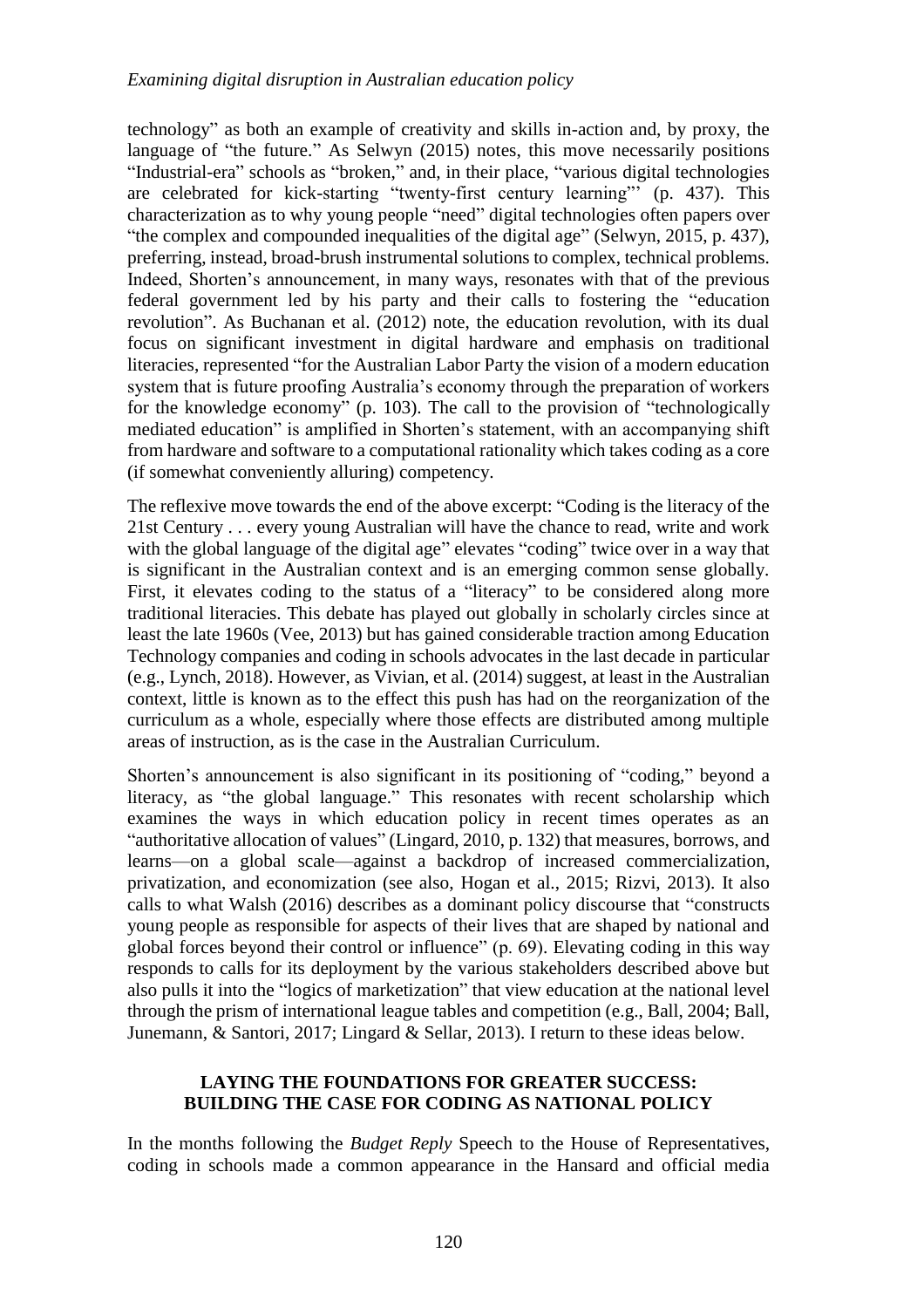technology" as both an example of creativity and skills in-action and, by proxy, the language of "the future." As Selwyn (2015) notes, this move necessarily positions "Industrial-era" schools as "broken," and, in their place, "various digital technologies are celebrated for kick-starting "twenty-first century learning"' (p. 437). This characterization as to why young people "need" digital technologies often papers over "the complex and compounded inequalities of the digital age" (Selwyn, 2015, p. 437), preferring, instead, broad-brush instrumental solutions to complex, technical problems. Indeed, Shorten's announcement, in many ways, resonates with that of the previous federal government led by his party and their calls to fostering the "education revolution". As Buchanan et al. (2012) note, the education revolution, with its dual focus on significant investment in digital hardware and emphasis on traditional literacies, represented "for the Australian Labor Party the vision of a modern education system that is future proofing Australia's economy through the preparation of workers for the knowledge economy" (p. 103). The call to the provision of "technologically mediated education" is amplified in Shorten's statement, with an accompanying shift from hardware and software to a computational rationality which takes coding as a core (if somewhat conveniently alluring) competency.

The reflexive move towards the end of the above excerpt: "Coding is the literacy of the 21st Century . . . every young Australian will have the chance to read, write and work with the global language of the digital age" elevates "coding" twice over in a way that is significant in the Australian context and is an emerging common sense globally. First, it elevates coding to the status of a "literacy" to be considered along more traditional literacies. This debate has played out globally in scholarly circles since at least the late 1960s (Vee, 2013) but has gained considerable traction among Education Technology companies and coding in schools advocates in the last decade in particular (e.g., Lynch, 2018). However, as Vivian, et al. (2014) suggest, at least in the Australian context, little is known as to the effect this push has had on the reorganization of the curriculum as a whole, especially where those effects are distributed among multiple areas of instruction, as is the case in the Australian Curriculum.

Shorten's announcement is also significant in its positioning of "coding," beyond a literacy, as "the global language." This resonates with recent scholarship which examines the ways in which education policy in recent times operates as an "authoritative allocation of values" (Lingard, 2010, p. 132) that measures, borrows, and learns—on a global scale—against a backdrop of increased commercialization, privatization, and economization (see also, Hogan et al., 2015; Rizvi, 2013). It also calls to what Walsh (2016) describes as a dominant policy discourse that "constructs young people as responsible for aspects of their lives that are shaped by national and global forces beyond their control or influence" (p. 69). Elevating coding in this way responds to calls for its deployment by the various stakeholders described above but also pulls it into the "logics of marketization" that view education at the national level through the prism of international league tables and competition (e.g., Ball, 2004; Ball, Junemann, & Santori, 2017; Lingard & Sellar, 2013). I return to these ideas below.

## **LAYING THE FOUNDATIONS FOR GREATER SUCCESS: BUILDING THE CASE FOR CODING AS NATIONAL POLICY**

In the months following the *Budget Reply* Speech to the House of Representatives, coding in schools made a common appearance in the Hansard and official media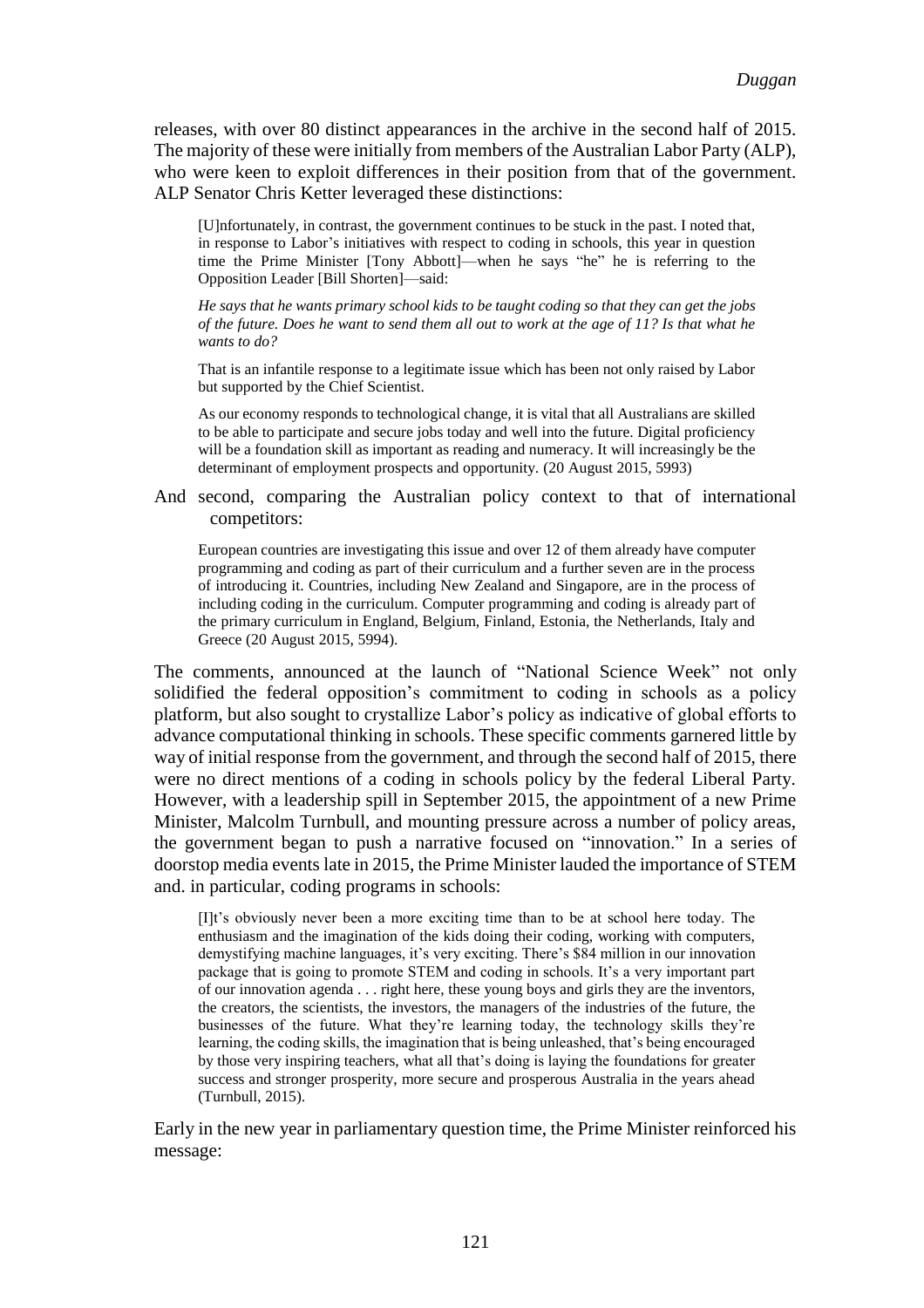releases, with over 80 distinct appearances in the archive in the second half of 2015. The majority of these were initially from members of the Australian Labor Party (ALP), who were keen to exploit differences in their position from that of the government. ALP Senator Chris Ketter leveraged these distinctions:

[U]nfortunately, in contrast, the government continues to be stuck in the past. I noted that, in response to Labor's initiatives with respect to coding in schools, this year in question time the Prime Minister [Tony Abbott]—when he says "he" he is referring to the Opposition Leader [Bill Shorten]—said:

*He says that he wants primary school kids to be taught coding so that they can get the jobs of the future. Does he want to send them all out to work at the age of 11? Is that what he wants to do?*

That is an infantile response to a legitimate issue which has been not only raised by Labor but supported by the Chief Scientist.

As our economy responds to technological change, it is vital that all Australians are skilled to be able to participate and secure jobs today and well into the future. Digital proficiency will be a foundation skill as important as reading and numeracy. It will increasingly be the determinant of employment prospects and opportunity. (20 August 2015, 5993)

And second, comparing the Australian policy context to that of international competitors:

European countries are investigating this issue and over 12 of them already have computer programming and coding as part of their curriculum and a further seven are in the process of introducing it. Countries, including New Zealand and Singapore, are in the process of including coding in the curriculum. Computer programming and coding is already part of the primary curriculum in England, Belgium, Finland, Estonia, the Netherlands, Italy and Greece (20 August 2015, 5994).

The comments, announced at the launch of "National Science Week" not only solidified the federal opposition's commitment to coding in schools as a policy platform, but also sought to crystallize Labor's policy as indicative of global efforts to advance computational thinking in schools. These specific comments garnered little by way of initial response from the government, and through the second half of 2015, there were no direct mentions of a coding in schools policy by the federal Liberal Party. However, with a leadership spill in September 2015, the appointment of a new Prime Minister, Malcolm Turnbull, and mounting pressure across a number of policy areas, the government began to push a narrative focused on "innovation." In a series of doorstop media events late in 2015, the Prime Minister lauded the importance of STEM and. in particular, coding programs in schools:

[I]t's obviously never been a more exciting time than to be at school here today. The enthusiasm and the imagination of the kids doing their coding, working with computers, demystifying machine languages, it's very exciting. There's \$84 million in our innovation package that is going to promote STEM and coding in schools. It's a very important part of our innovation agenda . . . right here, these young boys and girls they are the inventors, the creators, the scientists, the investors, the managers of the industries of the future, the businesses of the future. What they're learning today, the technology skills they're learning, the coding skills, the imagination that is being unleashed, that's being encouraged by those very inspiring teachers, what all that's doing is laying the foundations for greater success and stronger prosperity, more secure and prosperous Australia in the years ahead (Turnbull, 2015).

Early in the new year in parliamentary question time, the Prime Minister reinforced his message: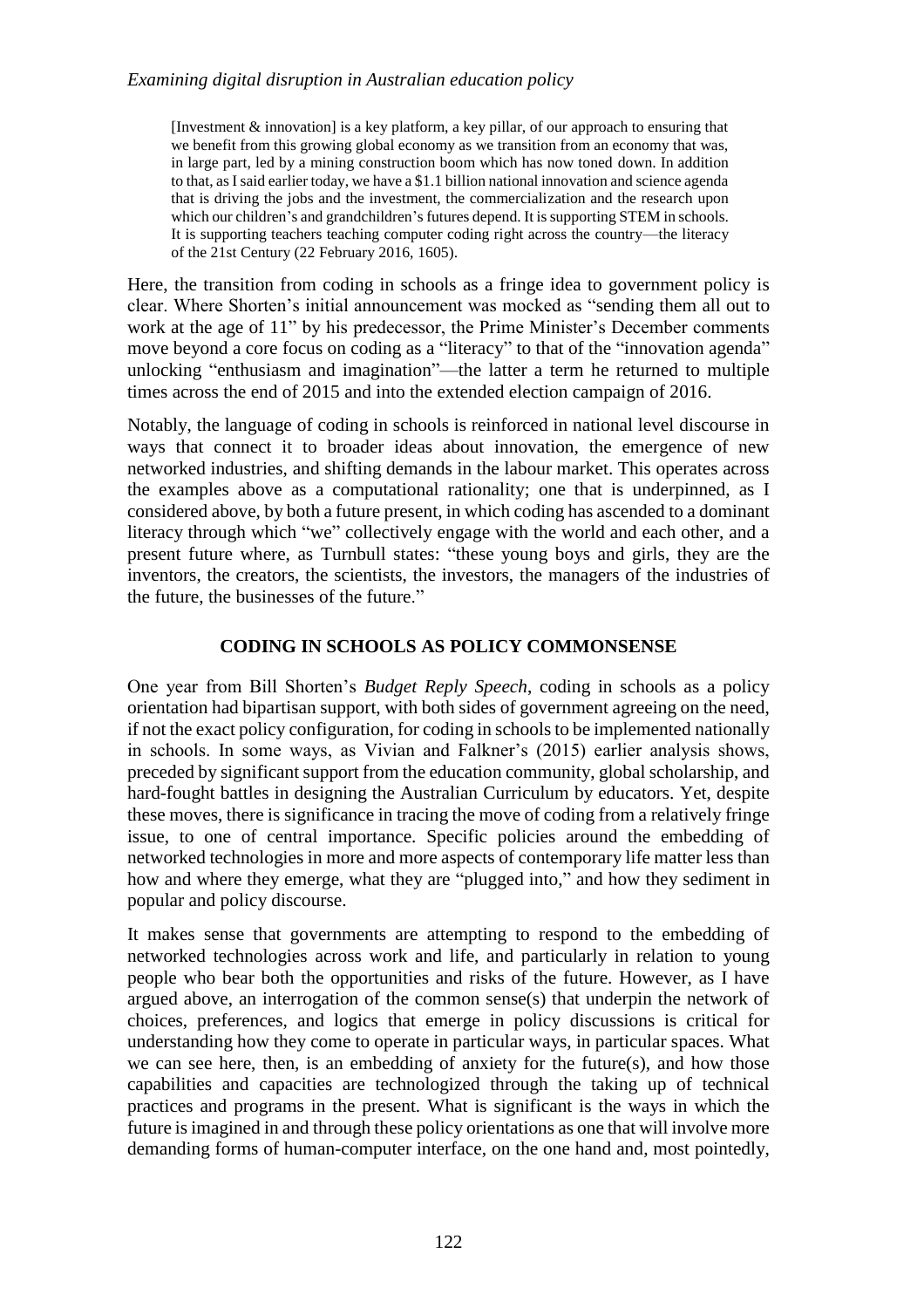## *Examining digital disruption in Australian education policy*

[Investment & innovation] is a key platform, a key pillar, of our approach to ensuring that we benefit from this growing global economy as we transition from an economy that was, in large part, led by a mining construction boom which has now toned down. In addition to that, as I said earlier today, we have a \$1.1 billion national innovation and science agenda that is driving the jobs and the investment, the commercialization and the research upon which our children's and grandchildren's futures depend. It is supporting STEM in schools. It is supporting teachers teaching computer coding right across the country—the literacy of the 21st Century (22 February 2016, 1605).

Here, the transition from coding in schools as a fringe idea to government policy is clear. Where Shorten's initial announcement was mocked as "sending them all out to work at the age of 11" by his predecessor, the Prime Minister's December comments move beyond a core focus on coding as a "literacy" to that of the "innovation agenda" unlocking "enthusiasm and imagination"—the latter a term he returned to multiple times across the end of 2015 and into the extended election campaign of 2016.

Notably, the language of coding in schools is reinforced in national level discourse in ways that connect it to broader ideas about innovation, the emergence of new networked industries, and shifting demands in the labour market. This operates across the examples above as a computational rationality; one that is underpinned, as I considered above, by both a future present, in which coding has ascended to a dominant literacy through which "we" collectively engage with the world and each other, and a present future where, as Turnbull states: "these young boys and girls, they are the inventors, the creators, the scientists, the investors, the managers of the industries of the future, the businesses of the future."

## **CODING IN SCHOOLS AS POLICY COMMONSENSE**

One year from Bill Shorten's *Budget Reply Speech*, coding in schools as a policy orientation had bipartisan support, with both sides of government agreeing on the need, if not the exact policy configuration, for coding in schools to be implemented nationally in schools. In some ways, as Vivian and Falkner's (2015) earlier analysis shows, preceded by significant support from the education community, global scholarship, and hard-fought battles in designing the Australian Curriculum by educators. Yet, despite these moves, there is significance in tracing the move of coding from a relatively fringe issue, to one of central importance. Specific policies around the embedding of networked technologies in more and more aspects of contemporary life matter less than how and where they emerge, what they are "plugged into," and how they sediment in popular and policy discourse.

It makes sense that governments are attempting to respond to the embedding of networked technologies across work and life, and particularly in relation to young people who bear both the opportunities and risks of the future. However, as I have argued above, an interrogation of the common sense(s) that underpin the network of choices, preferences, and logics that emerge in policy discussions is critical for understanding how they come to operate in particular ways, in particular spaces. What we can see here, then, is an embedding of anxiety for the future(s), and how those capabilities and capacities are technologized through the taking up of technical practices and programs in the present. What is significant is the ways in which the future is imagined in and through these policy orientations as one that will involve more demanding forms of human-computer interface, on the one hand and, most pointedly,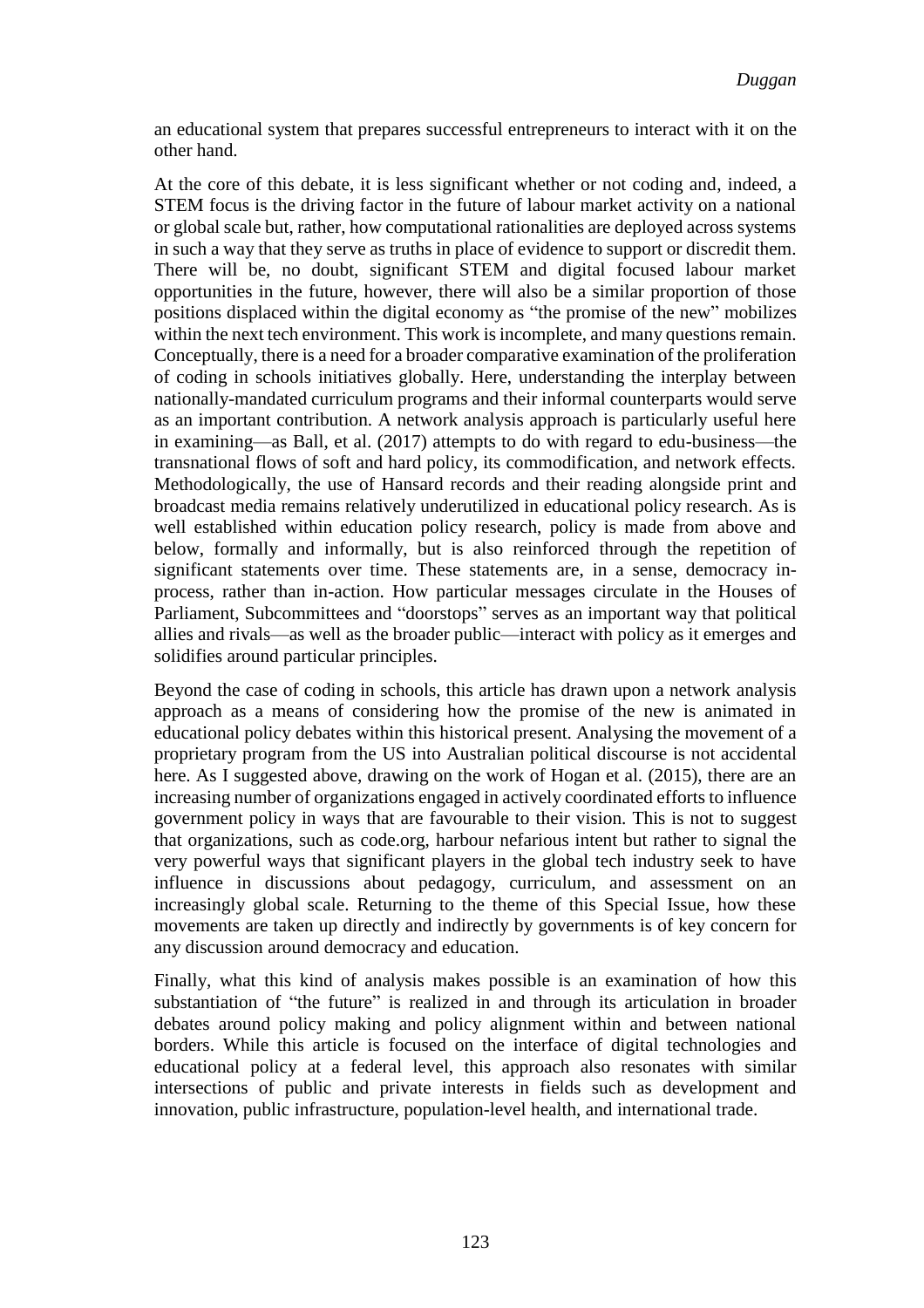an educational system that prepares successful entrepreneurs to interact with it on the other hand.

At the core of this debate, it is less significant whether or not coding and, indeed, a STEM focus is the driving factor in the future of labour market activity on a national or global scale but, rather, how computational rationalities are deployed across systems in such a way that they serve as truths in place of evidence to support or discredit them. There will be, no doubt, significant STEM and digital focused labour market opportunities in the future, however, there will also be a similar proportion of those positions displaced within the digital economy as "the promise of the new" mobilizes within the next tech environment. This work is incomplete, and many questions remain. Conceptually, there is a need for a broader comparative examination of the proliferation of coding in schools initiatives globally. Here, understanding the interplay between nationally-mandated curriculum programs and their informal counterparts would serve as an important contribution. A network analysis approach is particularly useful here in examining—as Ball, et al. (2017) attempts to do with regard to edu-business—the transnational flows of soft and hard policy, its commodification, and network effects. Methodologically, the use of Hansard records and their reading alongside print and broadcast media remains relatively underutilized in educational policy research. As is well established within education policy research, policy is made from above and below, formally and informally, but is also reinforced through the repetition of significant statements over time. These statements are, in a sense, democracy inprocess, rather than in-action. How particular messages circulate in the Houses of Parliament, Subcommittees and "doorstops" serves as an important way that political allies and rivals—as well as the broader public—interact with policy as it emerges and solidifies around particular principles.

Beyond the case of coding in schools, this article has drawn upon a network analysis approach as a means of considering how the promise of the new is animated in educational policy debates within this historical present. Analysing the movement of a proprietary program from the US into Australian political discourse is not accidental here. As I suggested above, drawing on the work of Hogan et al. (2015), there are an increasing number of organizations engaged in actively coordinated efforts to influence government policy in ways that are favourable to their vision. This is not to suggest that organizations, such as code.org, harbour nefarious intent but rather to signal the very powerful ways that significant players in the global tech industry seek to have influence in discussions about pedagogy, curriculum, and assessment on an increasingly global scale. Returning to the theme of this Special Issue, how these movements are taken up directly and indirectly by governments is of key concern for any discussion around democracy and education.

Finally, what this kind of analysis makes possible is an examination of how this substantiation of "the future" is realized in and through its articulation in broader debates around policy making and policy alignment within and between national borders. While this article is focused on the interface of digital technologies and educational policy at a federal level, this approach also resonates with similar intersections of public and private interests in fields such as development and innovation, public infrastructure, population-level health, and international trade.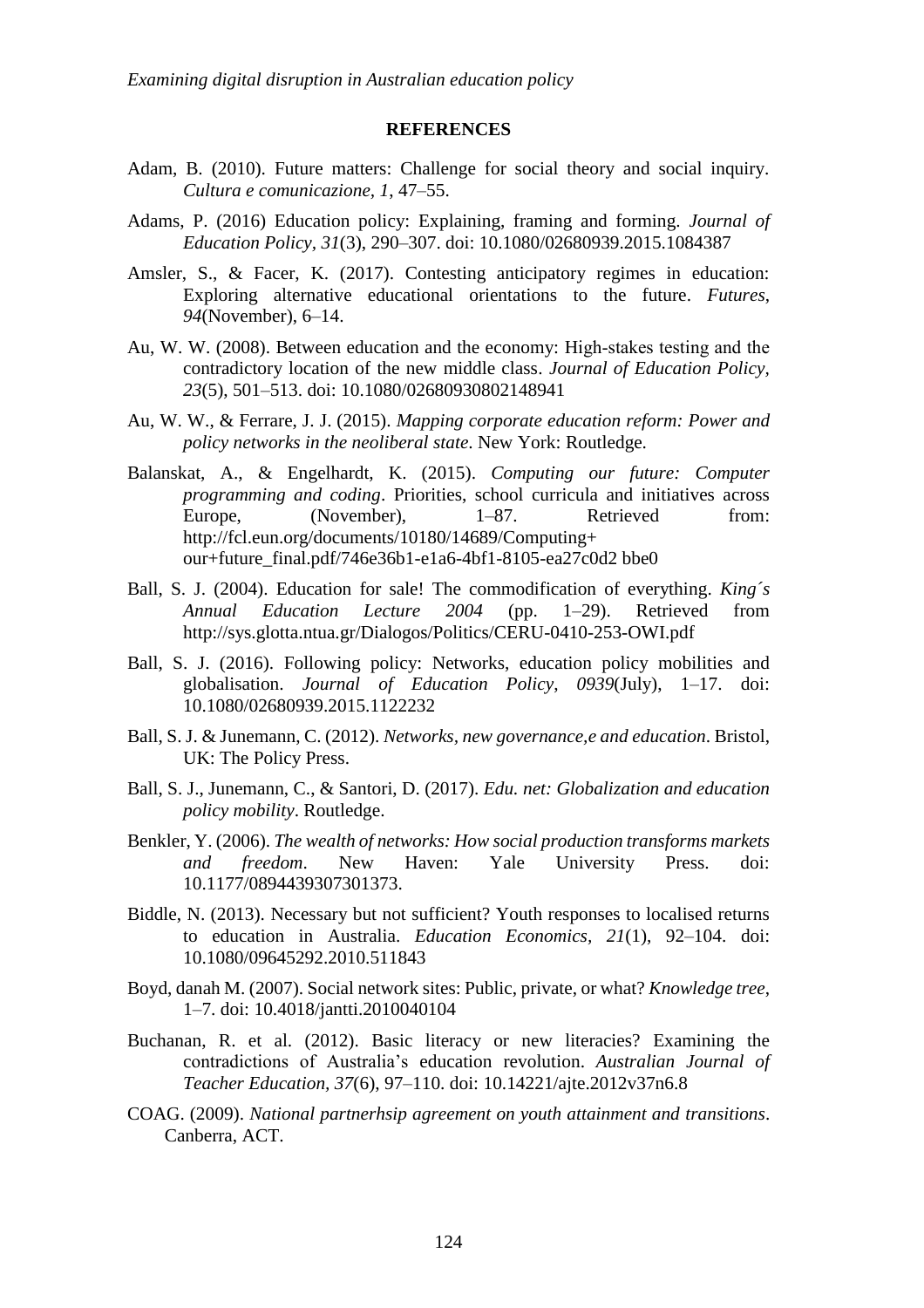#### **REFERENCES**

- Adam, B. (2010). Future matters: Challenge for social theory and social inquiry. *Cultura e comunicazione, 1*, 47–55.
- Adams, P. (2016) Education policy: Explaining, framing and forming. *Journal of Education Policy, 31*(3), 290–307. doi: 10.1080/02680939.2015.1084387
- Amsler, S., & Facer, K. (2017). Contesting anticipatory regimes in education: Exploring alternative educational orientations to the future. *Futures*, *94*(November), 6–14.
- Au, W. W. (2008). Between education and the economy: High‐stakes testing and the contradictory location of the new middle class. *Journal of Education Policy, 23*(5), 501–513. doi: 10.1080/02680930802148941
- Au, W. W., & Ferrare, J. J. (2015). *Mapping corporate education reform: Power and policy networks in the neoliberal state*. New York: Routledge.
- Balanskat, A., & Engelhardt, K. (2015). *Computing our future: Computer programming and coding*. Priorities, school curricula and initiatives across Europe, (November), 1–87. Retrieved from: http://fcl.eun.org/documents/10180/14689/Computing+ our+future\_final.pdf/746e36b1-e1a6-4bf1-8105-ea27c0d2 bbe0
- Ball, S. J. (2004). Education for sale! The commodification of everything. *King´s Annual Education Lecture 2004* (pp. 1–29). Retrieved from http://sys.glotta.ntua.gr/Dialogos/Politics/CERU-0410-253-OWI.pdf
- Ball, S. J. (2016). Following policy: Networks, education policy mobilities and globalisation. *Journal of Education Policy*, *0939*(July), 1–17. doi: 10.1080/02680939.2015.1122232
- Ball, S. J. & Junemann, C. (2012). *Networks, new governance,e and education*. Bristol, UK: The Policy Press.
- Ball, S. J., Junemann, C., & Santori, D. (2017). *Edu. net: Globalization and education policy mobility*. Routledge.
- Benkler, Y. (2006). *The wealth of networks: How social production transforms markets and freedom*. New Haven: Yale University Press. doi: 10.1177/0894439307301373.
- Biddle, N. (2013). Necessary but not sufficient? Youth responses to localised returns to education in Australia. *Education Economics, 21*(1), 92–104. doi: 10.1080/09645292.2010.511843
- Boyd, danah M. (2007). Social network sites: Public, private, or what? *Knowledge tree*, 1–7. doi: 10.4018/jantti.2010040104
- Buchanan, R. et al. (2012). Basic literacy or new literacies? Examining the contradictions of Australia's education revolution. *Australian Journal of Teacher Education, 37*(6), 97–110. doi: 10.14221/ajte.2012v37n6.8
- COAG. (2009). *National partnerhsip agreement on youth attainment and transitions*. Canberra, ACT.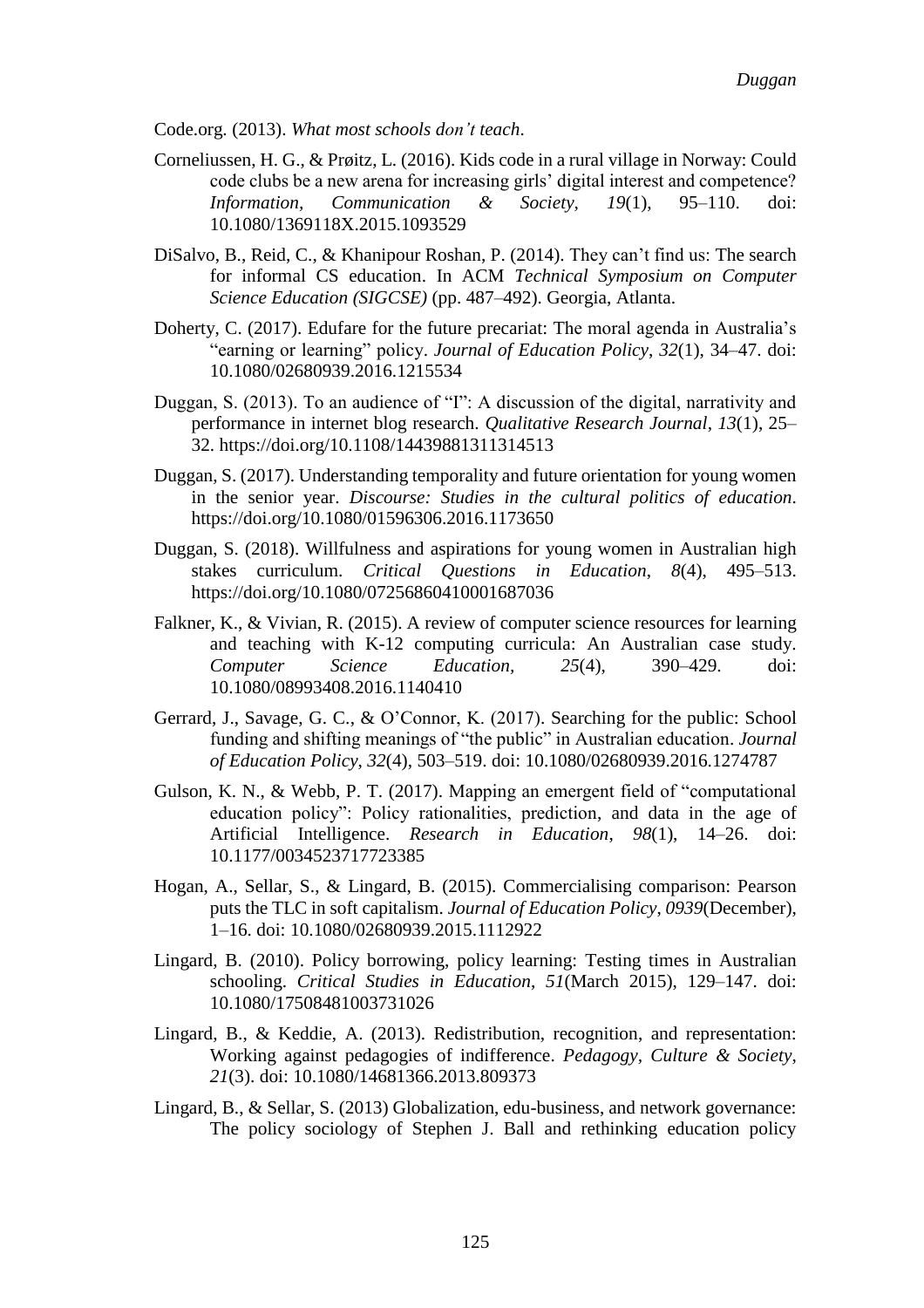Code.org. (2013). *What most schools don't teach*.

- Corneliussen, H. G., & Prøitz, L. (2016). Kids code in a rural village in Norway: Could code clubs be a new arena for increasing girls' digital interest and competence? *Information, Communication & Society, 19*(1), 95–110. doi: 10.1080/1369118X.2015.1093529
- DiSalvo, B., Reid, C., & Khanipour Roshan, P. (2014). They can't find us: The search for informal CS education. In ACM *Technical Symposium on Computer Science Education (SIGCSE)* (pp. 487–492). Georgia, Atlanta.
- Doherty, C. (2017). Edufare for the future precariat: The moral agenda in Australia's "earning or learning" policy. *Journal of Education Policy*, *32*(1), 34–47. doi: 10.1080/02680939.2016.1215534
- Duggan, S. (2013). To an audience of "I": A discussion of the digital, narrativity and performance in internet blog research. *Qualitative Research Journal*, *13*(1), 25– 32. https://doi.org/10.1108/14439881311314513
- Duggan, S. (2017). Understanding temporality and future orientation for young women in the senior year. *Discourse: Studies in the cultural politics of education*. https://doi.org/10.1080/01596306.2016.1173650
- Duggan, S. (2018). Willfulness and aspirations for young women in Australian high stakes curriculum. *Critical Questions in Education*, *8*(4), 495–513. https://doi.org/10.1080/07256860410001687036
- Falkner, K., & Vivian, R. (2015). A review of computer science resources for learning and teaching with K-12 computing curricula: An Australian case study. *Computer Science Education, 25*(4), 390–429. doi: 10.1080/08993408.2016.1140410
- Gerrard, J., Savage, G. C., & O'Connor, K. (2017). Searching for the public: School funding and shifting meanings of "the public" in Australian education. *Journal of Education Policy*, *32*(4), 503–519. doi: 10.1080/02680939.2016.1274787
- Gulson, K. N., & Webb, P. T. (2017). Mapping an emergent field of "computational education policy": Policy rationalities, prediction, and data in the age of Artificial Intelligence. *Research in Education*, *98*(1), 14–26. doi: 10.1177/0034523717723385
- Hogan, A., Sellar, S., & Lingard, B. (2015). Commercialising comparison: Pearson puts the TLC in soft capitalism. *Journal of Education Policy*, *0939*(December), 1–16. doi: 10.1080/02680939.2015.1112922
- Lingard, B. (2010). Policy borrowing, policy learning: Testing times in Australian schooling. *Critical Studies in Education*, *51*(March 2015), 129–147. doi: 10.1080/17508481003731026
- Lingard, B., & Keddie, A. (2013). Redistribution, recognition, and representation: Working against pedagogies of indifference. *Pedagogy, Culture & Society*, *21*(3). doi: 10.1080/14681366.2013.809373
- Lingard, B., & Sellar, S. (2013) Globalization, edu-business, and network governance: The policy sociology of Stephen J. Ball and rethinking education policy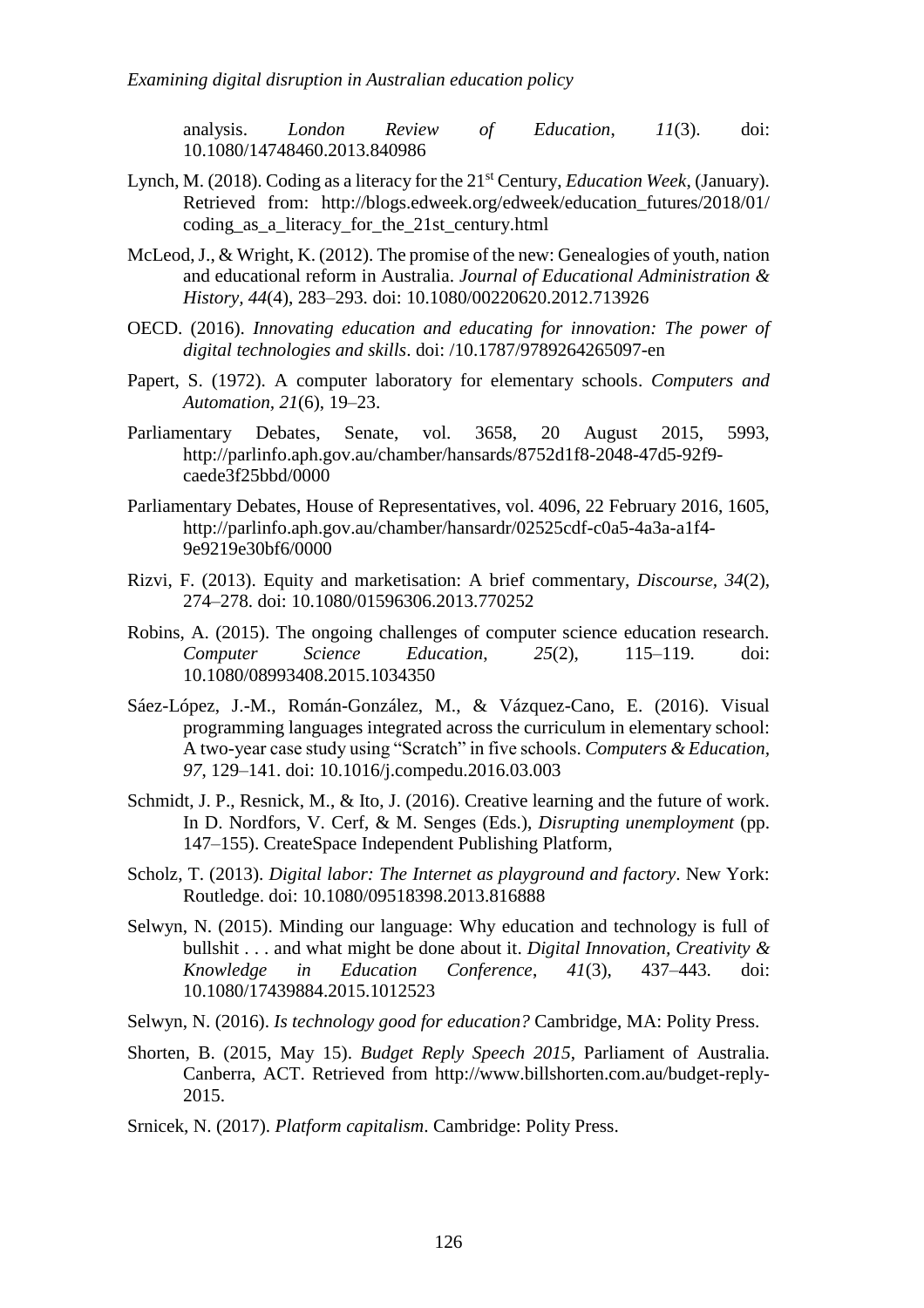analysis. *London Review of Education*, *11*(3). doi: 10.1080/14748460.2013.840986

- Lynch, M. (2018). Coding as a literacy for the 21st Century, *Education Week*, (January). Retrieved from: http://blogs.edweek.org/edweek/education\_futures/2018/01/ coding\_as\_a\_literacy\_for\_the\_21st\_century.html
- McLeod, J., & Wright, K. (2012). The promise of the new: Genealogies of youth, nation and educational reform in Australia. *Journal of Educational Administration & History, 44*(4), 283–293. doi: 10.1080/00220620.2012.713926
- OECD. (2016). *Innovating education and educating for innovation: The power of digital technologies and skills*. doi: /10.1787/9789264265097-en
- Papert, S. (1972). A computer laboratory for elementary schools. *Computers and Automation, 21*(6), 19–23.
- Parliamentary Debates, Senate, vol. 3658, 20 August 2015, 5993, http://parlinfo.aph.gov.au/chamber/hansards/8752d1f8-2048-47d5-92f9 caede3f25bbd/0000
- Parliamentary Debates, House of Representatives, vol. 4096, 22 February 2016, 1605, http://parlinfo.aph.gov.au/chamber/hansardr/02525cdf-c0a5-4a3a-a1f4- 9e9219e30bf6/0000
- Rizvi, F. (2013). Equity and marketisation: A brief commentary, *Discourse, 34*(2), 274–278. doi: 10.1080/01596306.2013.770252
- Robins, A. (2015). The ongoing challenges of computer science education research. *Computer Science Education*, *25*(2), 115–119. doi: 10.1080/08993408.2015.1034350
- Sáez-López, J.-M., Román-González, M., & Vázquez-Cano, E. (2016). Visual programming languages integrated across the curriculum in elementary school: A two-year case study using "Scratch" in five schools. *Computers & Education, 97*, 129–141. doi: 10.1016/j.compedu.2016.03.003
- Schmidt, J. P., Resnick, M., & Ito, J. (2016). Creative learning and the future of work. In D. Nordfors, V. Cerf, & M. Senges (Eds.), *Disrupting unemployment* (pp. 147–155). CreateSpace Independent Publishing Platform,
- Scholz, T. (2013). *Digital labor: The Internet as playground and factory*. New York: Routledge. doi: 10.1080/09518398.2013.816888
- Selwyn, N. (2015). Minding our language: Why education and technology is full of bullshit . . . and what might be done about it. *Digital Innovation, Creativity & Knowledge in Education Conference*, *41*(3), 437–443. doi: 10.1080/17439884.2015.1012523
- Selwyn, N. (2016). *Is technology good for education?* Cambridge, MA: Polity Press.
- Shorten, B. (2015, May 15). *Budget Reply Speech 2015*, Parliament of Australia. Canberra, ACT. Retrieved from http://www.billshorten.com.au/budget-reply-2015.
- Srnicek, N. (2017). *Platform capitalism*. Cambridge: Polity Press.